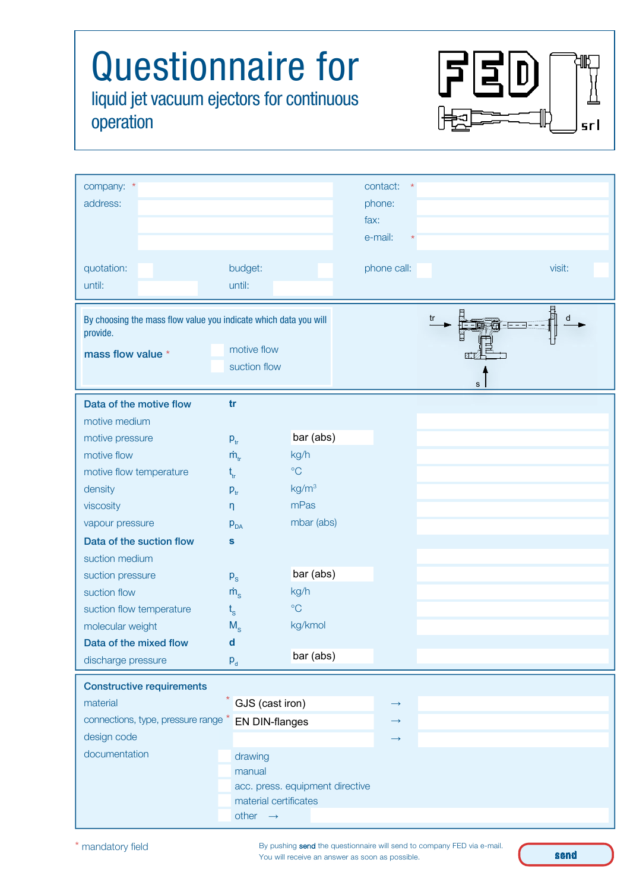## Questionnaire for F  $\mathbf{D}$ liquid jet vacuum ejectors for continuous operation srl company: contact: \* \*

| address:<br>phone:<br>fax:<br>e-mail:<br>quotation:<br>budget:<br>phone call:<br>visit:<br>until:<br>until:<br><b>MERICA</b><br>By choosing the mass flow value you indicate which data you will<br>tr<br>d<br>provide.<br>motive flow<br>mass flow value *<br>suction flow<br>s<br>tr<br>Data of the motive flow<br>motive medium<br>bar (abs)<br>motive pressure<br>$P_{tr}$<br>kg/h<br>motive flow<br>$\dot{m}_{tr}$<br>$\rm ^{\circ}C$<br>motive flow temperature<br>$t_{tr}$<br>kg/m <sup>3</sup><br>density<br>$P_{tr}$<br>mPas<br>viscosity<br>$\eta$ |  |  |  |  |  |
|--------------------------------------------------------------------------------------------------------------------------------------------------------------------------------------------------------------------------------------------------------------------------------------------------------------------------------------------------------------------------------------------------------------------------------------------------------------------------------------------------------------------------------------------------------------|--|--|--|--|--|
|                                                                                                                                                                                                                                                                                                                                                                                                                                                                                                                                                              |  |  |  |  |  |
|                                                                                                                                                                                                                                                                                                                                                                                                                                                                                                                                                              |  |  |  |  |  |
|                                                                                                                                                                                                                                                                                                                                                                                                                                                                                                                                                              |  |  |  |  |  |
|                                                                                                                                                                                                                                                                                                                                                                                                                                                                                                                                                              |  |  |  |  |  |
|                                                                                                                                                                                                                                                                                                                                                                                                                                                                                                                                                              |  |  |  |  |  |
|                                                                                                                                                                                                                                                                                                                                                                                                                                                                                                                                                              |  |  |  |  |  |
|                                                                                                                                                                                                                                                                                                                                                                                                                                                                                                                                                              |  |  |  |  |  |
|                                                                                                                                                                                                                                                                                                                                                                                                                                                                                                                                                              |  |  |  |  |  |
|                                                                                                                                                                                                                                                                                                                                                                                                                                                                                                                                                              |  |  |  |  |  |
|                                                                                                                                                                                                                                                                                                                                                                                                                                                                                                                                                              |  |  |  |  |  |
|                                                                                                                                                                                                                                                                                                                                                                                                                                                                                                                                                              |  |  |  |  |  |
|                                                                                                                                                                                                                                                                                                                                                                                                                                                                                                                                                              |  |  |  |  |  |
|                                                                                                                                                                                                                                                                                                                                                                                                                                                                                                                                                              |  |  |  |  |  |
|                                                                                                                                                                                                                                                                                                                                                                                                                                                                                                                                                              |  |  |  |  |  |
|                                                                                                                                                                                                                                                                                                                                                                                                                                                                                                                                                              |  |  |  |  |  |
|                                                                                                                                                                                                                                                                                                                                                                                                                                                                                                                                                              |  |  |  |  |  |
|                                                                                                                                                                                                                                                                                                                                                                                                                                                                                                                                                              |  |  |  |  |  |
| mbar (abs)<br>vapour pressure<br>$p_{DA}$                                                                                                                                                                                                                                                                                                                                                                                                                                                                                                                    |  |  |  |  |  |
| Data of the suction flow<br>S                                                                                                                                                                                                                                                                                                                                                                                                                                                                                                                                |  |  |  |  |  |
| suction medium                                                                                                                                                                                                                                                                                                                                                                                                                                                                                                                                               |  |  |  |  |  |
| bar (abs)<br>suction pressure<br>$P_{S}$                                                                                                                                                                                                                                                                                                                                                                                                                                                                                                                     |  |  |  |  |  |
| kg/h<br>suction flow<br>$\dot{m}$ <sub>s</sub>                                                                                                                                                                                                                                                                                                                                                                                                                                                                                                               |  |  |  |  |  |
| $\rm ^{\circ}C$<br>suction flow temperature<br>$t_{\rm s}$                                                                                                                                                                                                                                                                                                                                                                                                                                                                                                   |  |  |  |  |  |
| molecular weight<br>kg/kmol<br>$M_{S}$                                                                                                                                                                                                                                                                                                                                                                                                                                                                                                                       |  |  |  |  |  |
| Data of the mixed flow<br>d<br>bar (abs)                                                                                                                                                                                                                                                                                                                                                                                                                                                                                                                     |  |  |  |  |  |
| discharge pressure<br>$P_{d}$                                                                                                                                                                                                                                                                                                                                                                                                                                                                                                                                |  |  |  |  |  |
| <b>Constructive requirements</b>                                                                                                                                                                                                                                                                                                                                                                                                                                                                                                                             |  |  |  |  |  |
| GJS (cast iron)<br>material<br>$\rightarrow$                                                                                                                                                                                                                                                                                                                                                                                                                                                                                                                 |  |  |  |  |  |
| connections, type, pressure range<br><b>EN DIN-flanges</b><br>$\rightarrow$                                                                                                                                                                                                                                                                                                                                                                                                                                                                                  |  |  |  |  |  |
| design code<br>$\rightarrow$                                                                                                                                                                                                                                                                                                                                                                                                                                                                                                                                 |  |  |  |  |  |
| documentation<br>drawing                                                                                                                                                                                                                                                                                                                                                                                                                                                                                                                                     |  |  |  |  |  |
| manual                                                                                                                                                                                                                                                                                                                                                                                                                                                                                                                                                       |  |  |  |  |  |
| acc. press. equipment directive                                                                                                                                                                                                                                                                                                                                                                                                                                                                                                                              |  |  |  |  |  |
| material certificates                                                                                                                                                                                                                                                                                                                                                                                                                                                                                                                                        |  |  |  |  |  |
| other $\rightarrow$                                                                                                                                                                                                                                                                                                                                                                                                                                                                                                                                          |  |  |  |  |  |

By pushing send the questionnaire will send to company FED via e-mail. You will receive an answer as soon as possible.

send